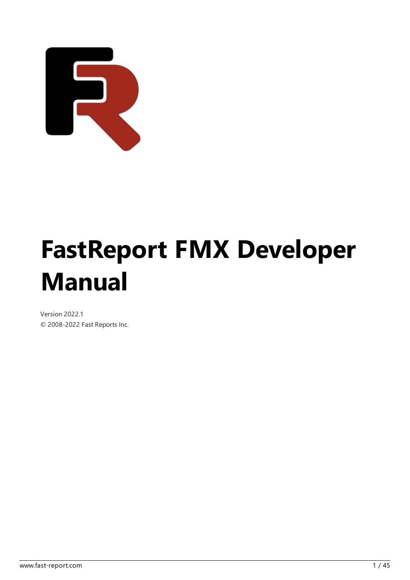

# FastReport FMX Developer Manual

Version 2022.1 © 2008-2022 Fast Reports Inc.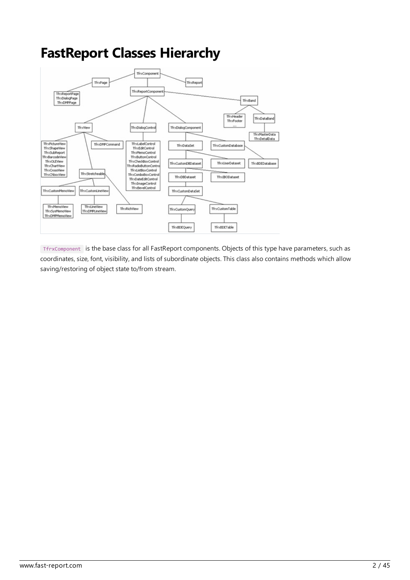#### FastReport Classes Hierarchy



TfrxComponent is the base class for all FastReport components. Objects of this type have parameters, such as coordinates, size, font, visibility, and lists of subordinate objects. This class also contains methods which allow saving/restoring of object state to/from stream.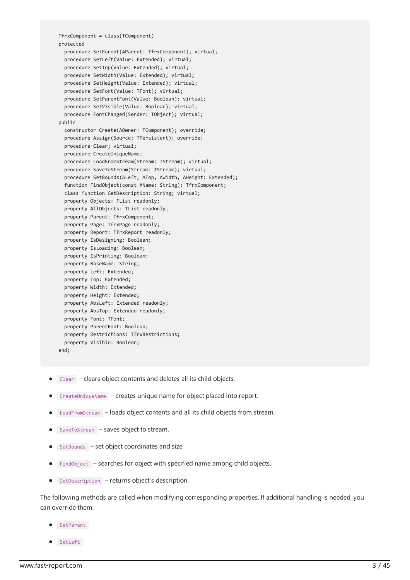```
TfrxComponent = class(TComponent)
protected
 procedure SetParent(AParent: TfrxComponent); virtual;
 procedure SetLeft(Value: Extended); virtual;
 procedure SetTop(Value: Extended); virtual;
 procedure SetWidth(Value: Extended); virtual;
 procedure SetHeight(Value: Extended); virtual;
 procedure SetFont(Value: TFont); virtual;
 procedure SetParentFont(Value: Boolean); virtual;
 procedure SetVisible(Value: Boolean); virtual;
 procedure FontChanged(Sender: TObject); virtual;
public
  constructor Create(AOwner: TComponent); override;
  procedure Assign(Source: TPersistent); override;
 procedure Clear; virtual;
 procedure CreateUniqueName;
  procedure LoadFromStream(Stream: TStream); virtual;
  procedure SaveToStream(Stream: TStream); virtual;
  procedure SetBounds(ALeft, ATop, AWidth, AHeight: Extended);
  function FindObject(const AName: String): TfrxComponent;
  class function GetDescription: String; virtual;
  property Objects: TList readonly;
  property AllObjects: TList readonly;
 property Parent: TfrxComponent;
 property Page: TfrxPage readonly;
 property Report: TfrxReport readonly;
 property IsDesigning: Boolean;
 property IsLoading: Boolean;
 property IsPrinting: Boolean;
 property BaseName: String;
 property Left: Extended;
 property Top: Extended;
 property Width: Extended;
 property Height: Extended;
 property AbsLeft: Extended readonly;
 property AbsTop: Extended readonly;
 property Font: TFont;
 property ParentFont: Boolean;
 property Restrictions: TfrxRestrictions;
 property Visible: Boolean;
end;
```
- Clear clears object contents and deletes all its child objects.
- CreateUniqueName creates unique name for object placed into report.
- LoadFromStream loads object contents and all its child objects from stream.
- SaveToStream saves object to stream.
- $\bullet$  setBounds set object coordinates and size
- $\bullet$  FindObject searches for object with specified name among child objects.
- GetDescription returns object's description.

The following methods are called when modifying corresponding properties. If additional handling is needed, you can override them:

- SetParent
- SetLeft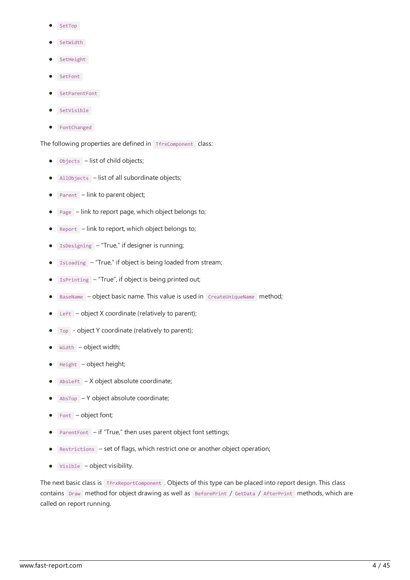- SetTop
- SetWidth
- SetHeight
- SetFont
- **SetParentFont**
- SetVisible
- FontChanged

The following properties are defined in TfrxComponent class:

- Objects list of child objects;
- AllObjects list of all subordinate objects;
- Parent link to parent object;
- Page link to report page, which object belongs to;
- Report link to report, which object belongs to;
- IsDesigning "True," if designer is running;  $\bullet$
- IsLoading "True," if object is being loaded from stream;
- IsPrinting "True", if object is being printed out;  $\bullet$
- BaseName object basic name. This value is used in CreateUniqueName method;  $\bullet$
- Left  $-$  object X coordinate (relatively to parent);  $\bullet$
- $Top object Y coordinate (relatively to parent);$
- Width object width;
- Height object height;
- $\Delta$ AbsLeft X object absolute coordinate;
- $AbsTop Y object absolute coordinate;$
- Font object font;
- ParentFont if "True," then uses parent object font settings;
- Restrictions set of flags, which restrict one or another object operation;  $\bullet$
- $V$ isible object visibility.  $\bullet$

The next basic class is TfrxReportComponent . Objects of this type can be placed into report design. This class contains Draw method for object drawing as well as BeforePrint / GetData / AfterPrint methods, which are called on report running.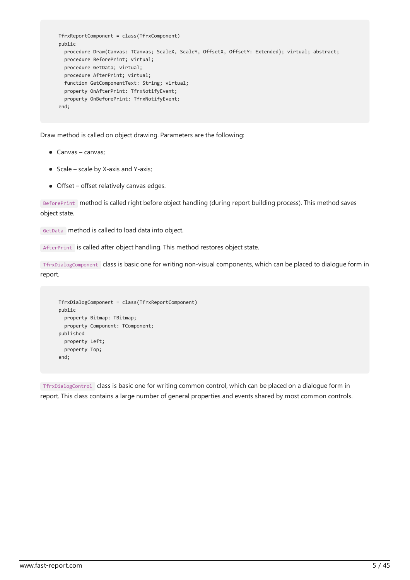```
TfrxReportComponent = class(TfrxComponent)
public
 procedure Draw(Canvas: TCanvas; ScaleX, ScaleY, OffsetX, OffsetY: Extended); virtual; abstract;
 procedure BeforePrint; virtual;
 procedure GetData; virtual;
 procedure AfterPrint; virtual;
 function GetComponentText: String; virtual;
 property OnAfterPrint: TfrxNotifyEvent;
 property OnBeforePrint: TfrxNotifyEvent;
end;
```
Draw method is called on object drawing. Parameters are the following:

- Canvas canvas;
- $\bullet$  Scale scale by X-axis and Y-axis;
- Offset– offset relatively canvas edges.

BeforePrint method is called right before object handling (during report building process). This method saves object state.

GetData method is called to load data into object.

AfterPrint is called after object handling. This method restores object state.

TfrxDialogComponent class is basic onefor writing non-visual components, which can be placed to dialogueform in report.

```
TfrxDialogComponent = class(TfrxReportComponent)
public
 property Bitmap: TBitmap;
 property Component: TComponent;
published
 property Left;
 property Top;
end;
```
TfrxDialogControl class is basic onefor writing common control, which can be placed on a dialogueform in report.This class contains a large number of general properties and events shared by most common controls.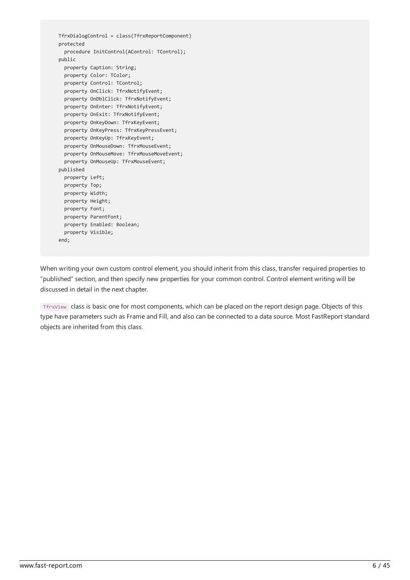```
TfrxDialogControl = class(TfrxReportComponent)
protected
 procedure InitControl(AControl: TControl);
public
 property Caption: String;
 property Color: TColor;
 property Control: TControl;
 property OnClick: TfrxNotifyEvent;
 property OnDblClick: TfrxNotifyEvent;
 property OnEnter: TfrxNotifyEvent;
 property OnExit: TfrxNotifyEvent;
 property OnKeyDown: TfrxKeyEvent;
 property OnKeyPress: TfrxKeyPressEvent;
 property OnKeyUp: TfrxKeyEvent;
 property OnMouseDown: TfrxMouseEvent;
 property OnMouseMove: TfrxMouseMoveEvent;
  property OnMouseUp: TfrxMouseEvent;
published
 property Left;
 property Top;
 property Width;
 property Height;
 property Font;
 property ParentFont;
 property Enabled: Boolean;
 property Visible;
end;
```
When writing your own custom control element, you should inherit from this class, transfer required properties to "published" section, and then specify new properties for your common control. Control element writing will be discussed in detail in the next chapter.

TfrxView class is basic one for most components, which can be placed on the report design page. Objects of this type have parameters such as Frame and Fill, and also can be connected to a data source. Most FastReport standard objects are inherited from this class.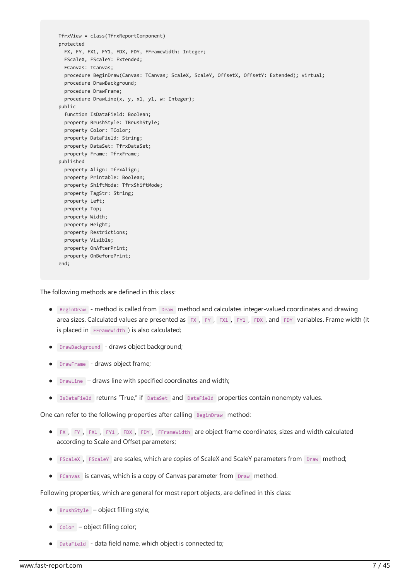TfrxView = class(TfrxReportComponent) protected FX, FY, FX1, FY1, FDX, FDY, FFrameWidth: Integer; FScaleX, FScaleY: Extended; FCanvas: TCanvas; procedure BeginDraw(Canvas: TCanvas; ScaleX, ScaleY, OffsetX, OffsetY: Extended); virtual; procedure DrawBackground; procedure DrawFrame; procedure DrawLine(x, y, x1, y1, w: Integer); public function IsDataField: Boolean; property BrushStyle: TBrushStyle; property Color: TColor; property DataField: String; property DataSet: TfrxDataSet; property Frame: TfrxFrame; published property Align: TfrxAlign; property Printable: Boolean; property ShiftMode: TfrxShiftMode; property TagStr: String; property Left; property Top; property Width; property Height; property Restrictions; property Visible; property OnAfterPrint; property OnBeforePrint; end;

The following methods are defined in this class:

- **BEGINDRAW** method is called from Draw method and calculates integer-valued coordinates and drawing area sizes. Calculated values are presented as FX, FY, FX1, FY1, FDX, and FDY variables. Frame width (it is placed in FFrameWidth ) is also calculated;
- **.** DrawBackground draws object background;
- DrawFrame draws object frame;
- $\bullet$  DrawLine draws line with specified coordinates and width;
- IsDataField returns "True," if DataSet and DataField properties contain nonempty values.

One can refer to the following properties after calling BeginDraw method:

- FX , FY , FX1 , FY1 , FDX , FDY , FFrameWidth are object framecoordinates, sizes and width calculated according to Scale and Offset parameters;
- FScaleX , FScaleY are scales, which are copies of ScaleX and ScaleY parameters from Draw method;
- FCanvas is canvas, which is a copy of Canvas parameter from Draw method.

Following properties, which are general for most report objects, are defined in this class:

- $\bullet$  BrushStyle object filling style;
- $\bullet$   $\overline{\phantom{a}}$  color  $\overline{\phantom{a}}$  object filling color;
- DataField data field name, which object is connected to;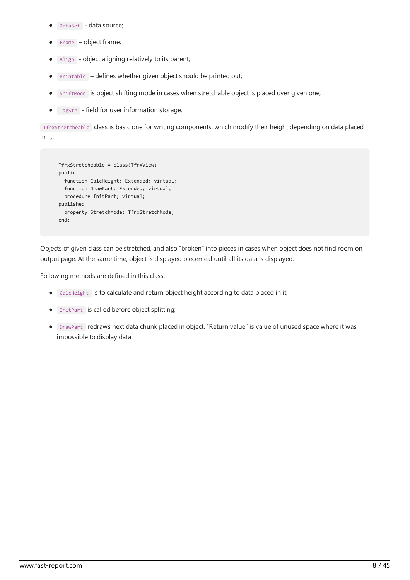- DataSet data source;
- Frame object frame;
- Align object aligning relatively to its parent;  $\bullet$
- Printable defines whether given object should be printed out;
- ShiftMode is object shifting mode in cases when stretchable object is placed over given one;  $\bullet$
- TagStr field for user information storage.  $\bullet$

TfrxStretcheable class is basic onefor writing components, which modify their height depending on data placed in it.

```
TfrxStretcheable = class(TfrxView)
public
 function CalcHeight: Extended; virtual;
 function DrawPart: Extended; virtual;
 procedure InitPart; virtual;
published
  property StretchMode: TfrxStretchMode;
end;
```
Objects of given class can be stretched, and also "broken" into pieces in cases when object does not find room on output page. At the same time, object is displayed piecemeal until all its data is displayed.

Following methods are defined in this class:

- $\bullet$   $\Box$  CalcHeight is to calculate and return object height according to data placed in it;
- **InitPart** is called before object splitting;
- DrawPart redraws next data chunk placed in object. "Return value" is value of unused space whereit was impossible to display data.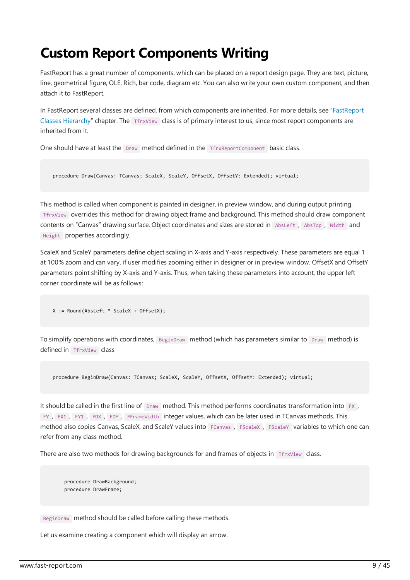#### Custom Report Components Writing

FastReport has a great number of components, which can be placed on a report design page. They are: text, picture, line, geometrical figure, OLE, Rich, bar code, diagram etc. You can also write your own custom component, and then attach it to FastReport.

In FastReport several classes are defined, from which components are inherited. For more details, see "FastReport Classes Hierarchy" chapter.The TfrxView class is of primary interest to us, since most report components are inherited from it.

One should have at least the Draw method defined in the TfrxReportComponent basic class.

```
procedure Draw(Canvas: TCanvas; ScaleX, ScaleY, OffsetX, OffsetY: Extended); virtual;
```
This method is called when component is painted in designer, in preview window, and during output printing. TfrxView overrides this method for drawing object frameand background.This method should draw component contents on "Canvas" drawing surface. Object coordinates and sizes arestored in AbsLeft , AbsTop , Width and Height properties accordingly.

ScaleX and ScaleY parameters define object scaling in X-axis and Y-axis respectively.These parameters areequal 1 at 100% zoom and can vary, if user modifies zooming either in designer or in preview window. OffsetX and OffsetY parameters point shifting by X-axis and Y-axis.Thus, when taking these parameters into account, the upper left corner coordinate will be as follows:

X := Round(AbsLeft \* ScaleX + OffsetX);

To simplify operations with coordinates, BeginDraw method (which has parameters similar to Draw method) is defined in TfrxView class

procedure BeginDraw(Canvas: TCanvas; ScaleX, ScaleY, OffsetX, OffsetY: Extended); virtual;

It should be called in the first line of Draw method. This method performs coordinates transformation into FX, FY , FX1 , FY1 , FDX , FDY , FFrameWidth integer values, which can be later used in TCanvas methods. This method also copies Canvas, ScaleX, and ScaleY values into FCanvas, FScaleX, FScaleY variables to which one can refer from any class method.

There are also two methods for drawing backgrounds for and frames of objects in TfrxView class.

procedure DrawBackground; procedure DrawFrame;

BeginDraw method should be called before calling these methods.

Let us examine creating a component which will display an arrow.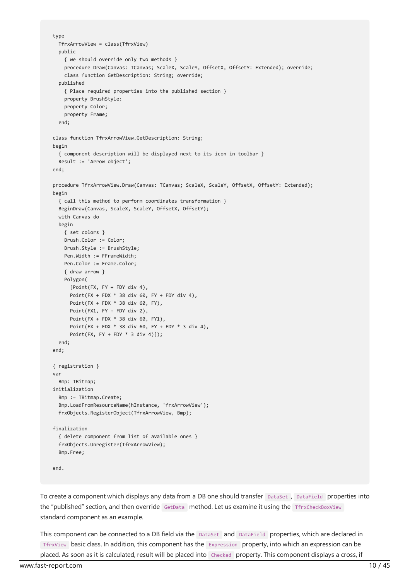```
type
 TfrxArrowView = class(TfrxView)
 public
   { we should override only two methods }
   procedure Draw(Canvas: TCanvas; ScaleX, ScaleY, OffsetX, OffsetY: Extended); override;
   class function GetDescription: String; override;
 published
    { Place required properties into the published section }
   property BrushStyle;
   property Color;
   property Frame;
 end;
class function TfrxArrowView.GetDescription: String;
begin
  { component description will be displayed next to its icon in toolbar }
 Result := 'Arrow object';
end;
procedure TfrxArrowView.Draw(Canvas: TCanvas; ScaleX, ScaleY, OffsetX, OffsetY: Extended);
begin
  { call this method to perform coordinates transformation }
 BeginDraw(Canvas, ScaleX, ScaleY, OffsetX, OffsetY);
 with Canvas do
 begin
   { set colors }
   Brush.Color := Color;
   Brush.Style := BrushStyle;
   Pen.Width := FFrameWidth;
   Pen.Color := Frame.Color;
   { draw arrow }
   Polygon(
     [Point(FX, FY + FDY div 4),
     Point(FX + FDX * 38 div 60, FY + FDY div 4),
     Point(FX + FDX * 38 div 60, FY),
     Point(FX1, FY + FDY div 2),
     Point(FX + FDX * 38 div 60, FY1),
     Point(FX + FDX * 38 div 60, FY + FDY * 3 div 4),
      Point(FX, FY + FDY * 3 div 4)]);
 end;
end;
{ registration }
var
 Bmp: TBitmap;
initialization
 Bmp := TBitmap.Create;
 Bmp.LoadFromResourceName(hInstance, 'frxArrowView');
 frxObjects.RegisterObject(TfrxArrowView, Bmp);
finalization
  { delete component from list of available ones }
  frxObjects.Unregister(TfrxArrowView);
 Bmp.Free;
end.
```
To create a component which displays any data from a DB one should transfer DataSet, DataField properties into the "published" section, and then override GetData method. Let us examine it using the TfrxCheckBoxView standard component as an example.

This component can be connected to a DB field via the DataSet and DataField properties, which are declared in TfrxView basic class. In addition, this component has the Expression property, into which an expression can be placed. As soon as it is calculated, result will be placed into Checked property.This component displays a cross, if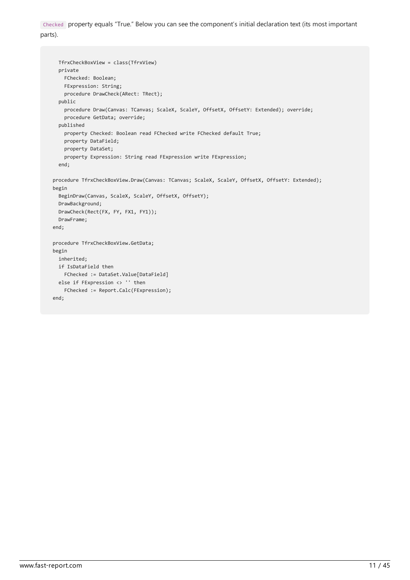Checked property equals "True." Below you can seethecomponent's initial declaration text (its most important parts).

```
TfrxCheckBoxView = class(TfrxView)
 private
   FChecked: Boolean;
   FExpression: String;
   procedure DrawCheck(ARect: TRect);
 public
   procedure Draw(Canvas: TCanvas; ScaleX, ScaleY, OffsetX, OffsetY: Extended); override;
   procedure GetData; override;
 published
   property Checked: Boolean read FChecked write FChecked default True;
   property DataField;
   property DataSet;
   property Expression: String read FExpression write FExpression;
 end;
procedure TfrxCheckBoxView.Draw(Canvas: TCanvas; ScaleX, ScaleY, OffsetX, OffsetY: Extended);
begin
 BeginDraw(Canvas, ScaleX, ScaleY, OffsetX, OffsetY);
 DrawBackground;
 DrawCheck(Rect(FX, FY, FX1, FY1));
 DrawFrame;
end;
procedure TfrxCheckBoxView.GetData;
begin
 inherited;
 if IsDataField then
   FChecked := DataSet.Value[DataField]
 else if FExpression <> '' then
   FChecked := Report.Calc(FExpression);
end;
```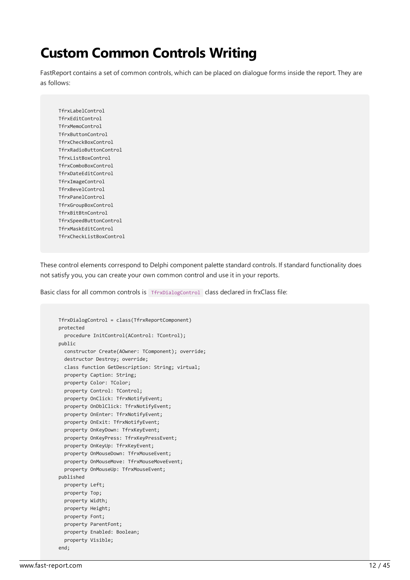## Custom Common Controls Writing

FastReport contains a set of common controls, which can be placed on dialogue forms inside the report. They are as follows:

TfrxLabelControl TfrxEditControl TfrxMemoControl TfrxButtonControl TfrxCheckBoxControl TfrxRadioButtonControl TfrxListBoxControl TfrxComboBoxControl TfrxDateEditControl TfrxImageControl TfrxBevelControl TfrxPanelControl TfrxGroupBoxControl TfrxBitBtnControl TfrxSpeedButtonControl TfrxMaskEditControl TfrxCheckListBoxControl

These control elements correspond to Delphi component palette standard controls. If standard functionality does not satisfy you, you can create your own common control and use it in your reports.

Basic class for all common controls is TrexpialogControl class declared in frxClass file:

```
TfrxDialogControl = class(TfrxReportComponent)
protected
  procedure InitControl(AControl: TControl);
public
 constructor Create(AOwner: TComponent); override;
 destructor Destroy; override;
 class function GetDescription: String; virtual;
 property Caption: String;
 property Color: TColor;
 property Control: TControl;
 property OnClick: TfrxNotifyEvent;
 property OnDblClick: TfrxNotifyEvent;
 property OnEnter: TfrxNotifyEvent;
 property OnExit: TfrxNotifyEvent;
 property OnKeyDown: TfrxKeyEvent;
  property OnKeyPress: TfrxKeyPressEvent;
 property OnKeyUp: TfrxKeyEvent;
 property OnMouseDown: TfrxMouseEvent;
 property OnMouseMove: TfrxMouseMoveEvent;
 property OnMouseUp: TfrxMouseEvent;
published
 property Left;
 property Top;
 property Width;
 property Height;
 property Font;
 property ParentFont;
 property Enabled: Boolean;
 property Visible;
end;
```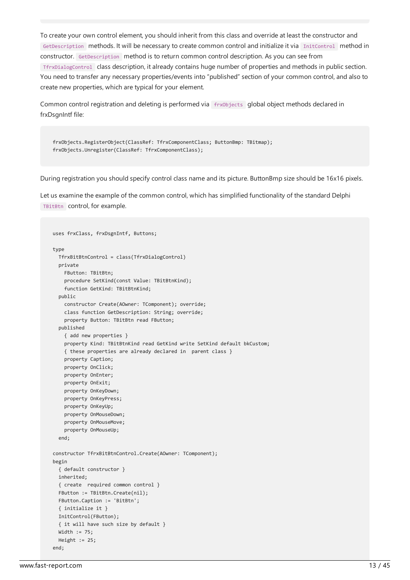To create your own control element, you should inherit from this class and override at least the constructor and GetDescription methods. It will be necessary to create common control and initialize it via InitControl method in constructor. GetDescription method is to return common control description. As you can seefrom TfrxDialogControl class description, italready contains huge number of properties and methods in public section. You need to transfer any necessary properties/events into "published" section of your common control, and also to create new properties, which are typical for your element.

Common control registration and deleting is performed via frx0bjects global object methods declared in frxDsgnIntf file:

```
frxObjects.RegisterObject(ClassRef: TfrxComponentClass; ButtonBmp: TBitmap);
frxObjects.Unregister(ClassRef: TfrxComponentClass);
```
During registration you should specify control class nameand its picture. ButtonBmp sizeshould be 16x16 pixels.

Let us examine the example of the common control, which has simplified functionality of the standard Delphi TBitBtn control, for example.

```
uses frxClass, frxDsgnIntf, Buttons;
type
 TfrxBitBtnControl = class(TfrxDialogControl)
 private
   FButton: TBitBtn;
   procedure SetKind(const Value: TBitBtnKind);
   function GetKind: TBitBtnKind;
 public
   constructor Create(AOwner: TComponent); override;
   class function GetDescription: String; override;
   property Button: TBitBtn read FButton;
 published
    { add new properties }
    property Kind: TBitBtnKind read GetKind write SetKind default bkCustom;
    { these properties are already declared in parent class }
   property Caption;
   property OnClick;
   property OnEnter;
   property OnExit;
   property OnKeyDown;
   property OnKeyPress;
   property OnKeyUp;
   property OnMouseDown;
   property OnMouseMove;
    property OnMouseUp;
  end;
constructor TfrxBitBtnControl.Create(AOwner: TComponent);
begin
 { default constructor }
 inherited;
 { create required common control }
 FButton := TBitBtn.Create(nil);
 FButton.Caption := 'BitBtn';
 { initialize it }
 InitControl(FButton);
 { it will have such size by default }
 Width := 75;
 Height := 25;
end;
```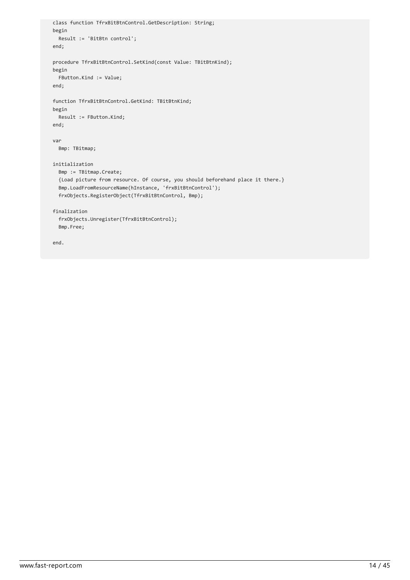```
class function TfrxBitBtnControl.GetDescription: String;
begin
  Result := 'BitBtn control';
end;
procedure TfrxBitBtnControl.SetKind(const Value: TBitBtnKind);
begin
 FButton.Kind := Value;
end;
function TfrxBitBtnControl.GetKind: TBitBtnKind;
begin
 Result := FButton.Kind;
end;
var
 Bmp: TBitmap;
initialization
 Bmp := TBitmap.Create;
 {Load picture from resource. Of course, you should beforehand place it there.}
 Bmp.LoadFromResourceName(hInstance, 'frxBitBtnControl');
 frxObjects.RegisterObject(TfrxBitBtnControl, Bmp);
finalization
  frxObjects.Unregister(TfrxBitBtnControl);
  Bmp.Free;
```
end.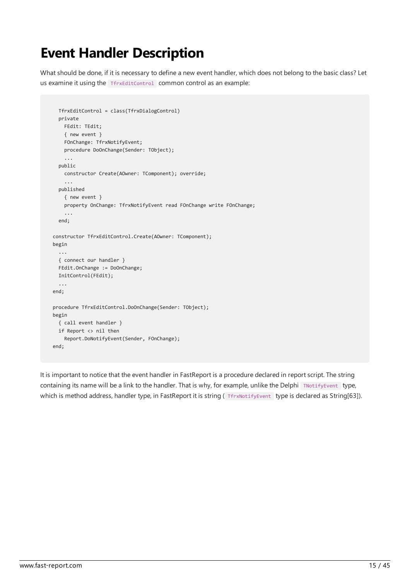## Event Handler Description

What should be done, if it is necessary to define a new event handler, which does not belong to the basic class? Let us examine it using the TfrxEditControl common control as an example:

```
TfrxEditControl = class(TfrxDialogControl)
 private
   FEdit: TEdit;
   { new event }
   FOnChange: TfrxNotifyEvent;
   procedure DoOnChange(Sender: TObject);
    ...
 public
   constructor Create(AOwner: TComponent); override;
    ...
  published
   { new event }
   property OnChange: TfrxNotifyEvent read FOnChange write FOnChange;
    ...
 end;
constructor TfrxEditControl.Create(AOwner: TComponent);
begin
 ...
 { connect our handler }
 FEdit.OnChange := DoOnChange;
 InitControl(FEdit);
  ...
end;
procedure TfrxEditControl.DoOnChange(Sender: TObject);
begin
 { call event handler }
 if Report <> nil then
   Report.DoNotifyEvent(Sender, FOnChange);
end;
```
It is important to notice that the event handler in FastReport is a procedure declared in report script. The string containing its name will be a link to the handler. That is why, for example, unlike the Delphi TNotifyEvent type, which is method address, handler type, in FastReport it is string (The Notify Event type is declared as String[63]).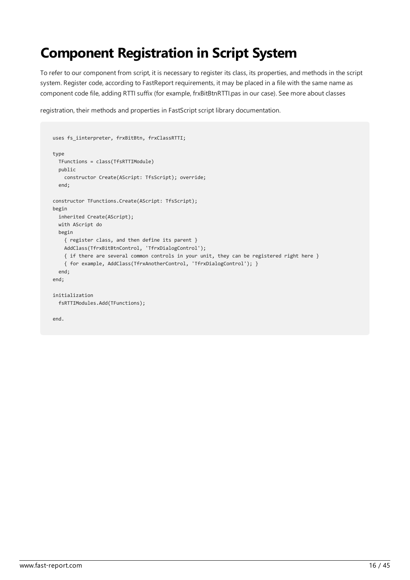# Component Registration in Script System

To refer to our component from script, it is necessary to register its class, its properties, and methods in the script system. Register code, according to FastReport requirements, it may be placed in a file with the same name as component code file, adding RTTI suffix (for example, frxBitBtnRTTI.pas in our case). See more about classes

registration, their methods and properties in FastScript script library documentation.

```
uses fs_iinterpreter, frxBitBtn, frxClassRTTI;
type
 TFunctions = class(TfsRTTIModule)
 public
   constructor Create(AScript: TfsScript); override;
 end;
constructor TFunctions.Create(AScript: TfsScript);
begin
 inherited Create(AScript);
 with AScript do
 begin
   { register class, and then define its parent }
   AddClass(TfrxBitBtnControl, 'TfrxDialogControl');
   { if there are several common controls in your unit, they can be registered right here }
   { for example, AddClass(TfrxAnotherControl, 'TfrxDialogControl'); }
 end;
end;
initialization
 fsRTTIModules.Add(TFunctions);
end.
```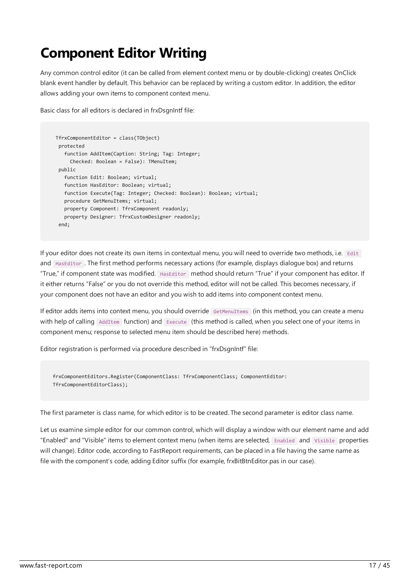# **Component Editor Writing**

Any common control editor (it can becalled from element context menu or by double-clicking) creates OnClick blank event handler by default. This behavior can be replaced by writing a custom editor. In addition, the editor allows adding your own items to component context menu.

Basic class for all editors is declared in frxDsgnIntf file:

```
TfrxComponentEditor = class(TObject)
protected
  function AddItem(Caption: String; Tag: Integer;
    Checked: Boolean = False): TMenuItem;
public
   function Edit: Boolean; virtual;
   function HasEditor: Boolean; virtual;
   function Execute(Tag: Integer; Checked: Boolean): Boolean; virtual;
  procedure GetMenuItems; virtual;
  property Component: TfrxComponent readonly;
  property Designer: TfrxCustomDesigner readonly;
end;
```
If your editor does not create its own items in contextual menu, you will need to override two methods, i.e. Edit and HasEditor .Thefirst method performs necessary actions (for example, displays dialogue box) and returns "True," if component state was modified. HasEditor method should return "True" if your component has editor. If it either returns "False" or you do not override this method, editor will not be called. This becomes necessary, if your component does not have an editor and you wish to add items into component context menu.

If editor adds items into context menu, you should override GetMenuItems (in this method, you can create a menu with help of calling AddItem function) and Execute (this method is called, when you select one of your items in component menu; response to selected menu item should be described here) methods.

Editor registration is performed via procedure described in "frxDsgnIntf" file:

```
frxComponentEditors.Register(ComponentClass: TfrxComponentClass; ComponentEditor:
TfrxComponentEditorClass);
```
The first parameter is class name, for which editor is to be created. The second parameter is editor class name.

Let us examine simple editor for our common control, which will display a window with our element name and add "Enabled" and "Visible" items to element context menu (when items are selected, Enabled and Visible properties will change). Editor code, according to FastReport requirements, can be placed in a file having the same name as file with the component's code, adding Editor suffix (for example, frxBitBtnEditor.pas in our case).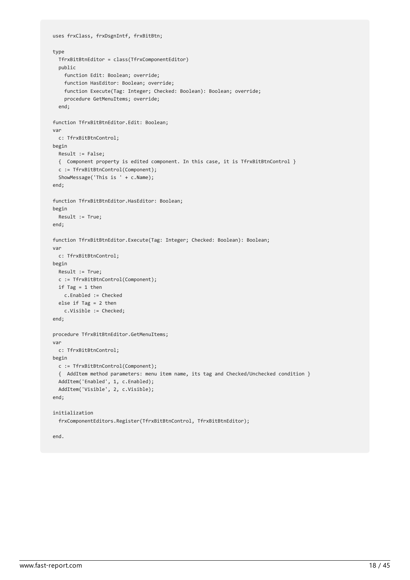```
uses frxClass, frxDsgnIntf, frxBitBtn;
type
 TfrxBitBtnEditor = class(TfrxComponentEditor)
 public
   function Edit: Boolean; override;
   function HasEditor: Boolean; override;
   function Execute(Tag: Integer; Checked: Boolean): Boolean; override;
   procedure GetMenuItems; override;
 end;
function TfrxBitBtnEditor.Edit: Boolean;
var
 c: TfrxBitBtnControl;
begin
 Result := False;
 { Component property is edited component. In this case, it is TfrxBitBtnControl }
 c := TfrxBitBtnControl(Component);
 ShowMessage('This is ' + c.Name);
end;
function TfrxBitBtnEditor.HasEditor: Boolean;
begin
 Result := True;
end;
function TfrxBitBtnEditor.Execute(Tag: Integer; Checked: Boolean): Boolean;
var
 c: TfrxBitBtnControl;
begin
 Result := True;
 c := TfrxBitBtnControl(Component);
 if Tag = 1 then
   c.Enabled := Checked
 else if Tag = 2 then
   c.Visible := Checked;
end;
procedure TfrxBitBtnEditor.GetMenuItems;
var
 c: TfrxBitBtnControl;
begin
 c := TfrxBitBtnControl(Component);
 { AddItem method parameters: menu item name, its tag and Checked/Unchecked condition }
 AddItem('Enabled', 1, c.Enabled);
 AddItem('Visible', 2, c.Visible);
end;
initialization
 frxComponentEditors.Register(TfrxBitBtnControl, TfrxBitBtnEditor);
```
end.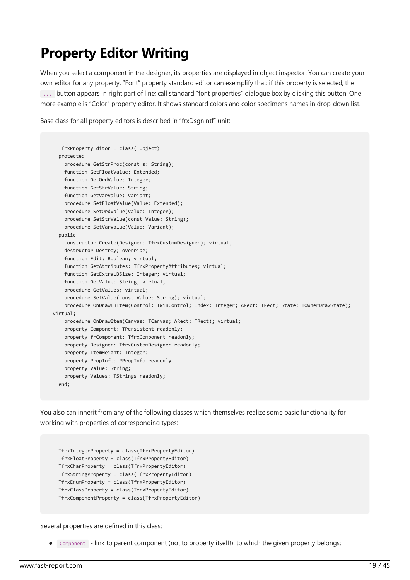## Property Editor Writing

When you select a component in the designer, its properties are displayed in object inspector. You can create your own editor for any property. "Font" property standard editor can exemplify that: if this property is selected, the ... button appears in right part of line; call standard "font properties" dialogue box by clicking this button. One more example is "Color" property editor. It shows standard colors and color specimens names in drop-down list.

Base class for all property editors is described in "frxDsgnIntf" unit:

```
TfrxPropertyEditor = class(TObject)
 protected
   procedure GetStrProc(const s: String);
   function GetFloatValue: Extended;
   function GetOrdValue: Integer;
   function GetStrValue: String;
   function GetVarValue: Variant;
   procedure SetFloatValue(Value: Extended);
   procedure SetOrdValue(Value: Integer);
   procedure SetStrValue(const Value: String);
   procedure SetVarValue(Value: Variant);
 nuhlicconstructor Create(Designer: TfrxCustomDesigner); virtual;
   destructor Destroy; override;
   function Edit: Boolean; virtual;
   function GetAttributes: TfrxPropertyAttributes; virtual;
   function GetExtraLBSize: Integer; virtual;
   function GetValue: String; virtual;
   procedure GetValues; virtual;
   procedure SetValue(const Value: String); virtual;
    procedure OnDrawLBItem(Control: TWinControl; Index: Integer; ARect: TRect; State: TOwnerDrawState);
virtual;
   procedure OnDrawItem(Canvas: TCanvas; ARect: TRect); virtual;
   property Component: TPersistent readonly;
   property frComponent: TfrxComponent readonly;
   property Designer: TfrxCustomDesigner readonly;
   property ItemHeight: Integer;
   property PropInfo: PPropInfo readonly;
   property Value: String;
   property Values: TStrings readonly;
 end;
```
You also can inherit from any of the following classes which themselves realize some basic functionality for working with properties of corresponding types:

```
TfrxIntegerProperty = class(TfrxPropertyEditor)
TfrxFloatProperty = class(TfrxPropertyEditor)
TfrxCharProperty = class(TfrxPropertyEditor)
TfrxStringProperty = class(TfrxPropertyEditor)
TfrxEnumProperty = class(TfrxPropertyEditor)
TfrxClassProperty = class(TfrxPropertyEditor)
TfrxComponentProperty = class(TfrxPropertyEditor)
```
Several properties are defined in this class:

• Component - link to parent component (not to property itself!), to which the given property belongs;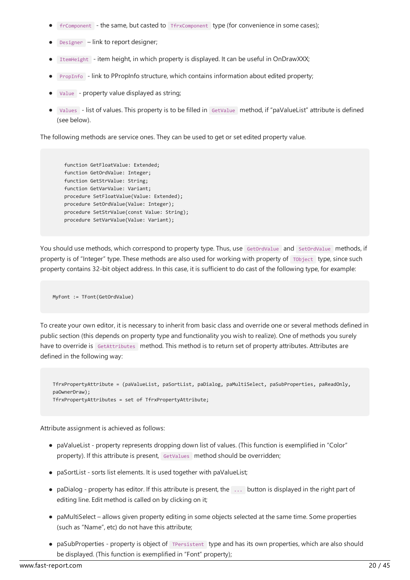- frComponent the same, but casted to TfrxComponent type (for convenience in some cases);
- Designer link to report designer;
- ItemHeight item height, in which property is displayed. It can be useful in OnDrawXXX;
- PropInfo link to PPropInfo structure, which contains information about edited property;
- Value property value displayed as string;
- Values list of values.This property is to befilled in GetValue method, if "paValueList" attributeis defined (see below).

The following methods are service ones. They can be used to get or set edited property value.

function GetFloatValue: Extended; function GetOrdValue: Integer; function GetStrValue: String; function GetVarValue: Variant; procedure SetFloatValue(Value: Extended); procedure SetOrdValue(Value: Integer); procedure SetStrValue(const Value: String); procedure SetVarValue(Value: Variant);

You should use methods, which correspond to property type. Thus, use GetOrdValue and SetOrdValue methods, if property is of "Integer" type. These methods are also used for working with property of Tobject type, since such property contains 32-bit object address. In this case, it is sufficient to do cast of the following type, for example:

MyFont := TFont(GetOrdValue)

To create your own editor, it is necessary to inherit from basic class and override one or several methods defined in public section (this depends on property type and functionality you wish to realize). One of methods you surely have to override is GetAttributes method. This method is to return set of property attributes. Attributes are defined in the following way:

TfrxPropertyAttribute = (paValueList, paSortList, paDialog, paMultiSelect, paSubProperties, paReadOnly, paOwnerDraw); TfrxPropertyAttributes = set of TfrxPropertyAttribute;

Attribute assignment is achieved as follows:

- paValueList property represents dropping down list of values. (This function is exemplified in "Color" property). If this attribute is present, GetValues method should be overridden;
- paSortList sorts list elements. It is used together with paValueList;
- paDialog property has editor. If this attribute is present, the ... button is displayed in the right part of editing line. Edit method is called on by clicking on it;
- paMultiSelect allows given property editing in some objects selected at the same time. Some properties (such as "Name", etc) do not have this attribute;
- paSubProperties property is object of TPersistent type and has its own properties, which are also should be displayed. (This function is exemplified in "Font" property);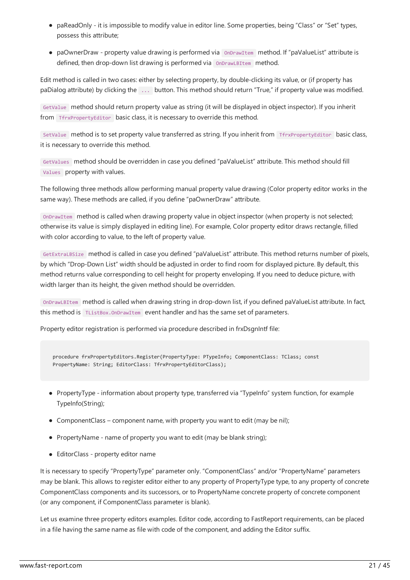- paReadOnly it is impossible to modify value in editor line. Some properties, being "Class" or "Set" types, possess this attribute;
- paOwnerDraw property value drawing is performed via OnDrawItem method. If "paValueList" attribute is defined, then drop-down list drawing is performed via OnDrawLBItem method.

Edit method is called in two cases: either by selecting property, by double-clicking its value, or (if property has paDialog attribute) by clicking the ... button.This method should return "True," if property value was modified.

GetValue method should return property valueas string (it will be displayed in object inspector). If you inherit from TfrxPropertyEditor basic class, it is necessary to override this method.

SetValue method is to set property value transferred as string. If you inherit from TfrxPropertyEditor basic class, it is necessary to override this method.

GetValues method should be overridden in case you defined "paValueList" attribute. This method should fill Values property with values.

The following three methods allow performing manual property value drawing (Color property editor works in the same way). These methods are called, if you define "paOwnerDraw" attribute.

OnDrawItem method is called when drawing property valuein object inspector (when property is not selected; otherwise its value is simply displayed in editing line). For example, Color property editor draws rectangle, filled with color according to value, to the left of property value.

GetExtraLBSize method is called in caseyou defined "paValueList" attribute.This method returns number of pixels, by which "Drop-Down List" width should be adjusted in order to find room for displayed picture. By default, this method returns value corresponding to cell height for property enveloping. If you need to deduce picture, with width larger than its height, the given method should be overridden.

OnDrawLBItem method is called when drawing string in drop-down list, if you defined paValueListattribute. In fact, this method is TListBox.OnDrawItem event handler and has the same set of parameters.

Property editor registration is performed via procedure described in frxDsgnIntf file:

procedure frxPropertyEditors.Register(PropertyType: PTypeInfo; ComponentClass: TClass; const PropertyName: String; EditorClass: TfrxPropertyEditorClass);

- PropertyType- information about property type, transferred via "TypeInfo" system function, for example TypeInfo(String);
- $\bullet$  ComponentClass component name, with property you want to edit (may be nil);
- PropertyName name of property you want to edit (may be blank string);
- EditorClass property editor name

It is necessary to specify "PropertyType" parameter only. "ComponentClass" and/or "PropertyName" parameters may be blank.This allows to register editor either to any property of PropertyTypetype, to any property of concrete ComponentClass components and its successors, or to PropertyName concrete property of concrete component (or any component, if ComponentClass parameter is blank).

Let us examine three property editors examples. Editor code, according to FastReport requirements, can be placed in a file having the same name as file with code of the component, and adding the Editor suffix.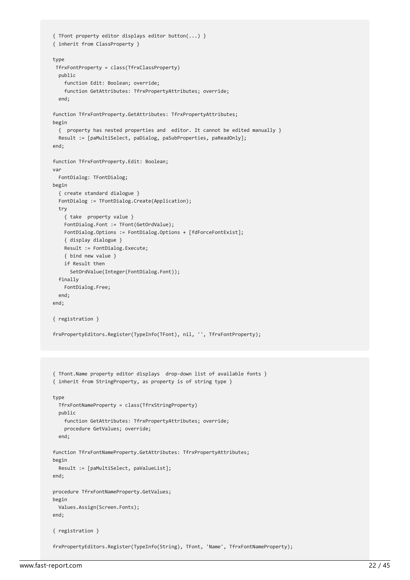```
{ TFont property editor displays editor button(...) }
{ inherit from ClassProperty }
type
TfrxFontProperty = class(TfrxClassProperty)
 public
   function Edit: Boolean; override;
   function GetAttributes: TfrxPropertyAttributes; override;
 end;
function TfrxFontProperty.GetAttributes: TfrxPropertyAttributes;
begin
 { property has nested properties and editor. It cannot be edited manually }
 Result := [paMultiSelect, paDialog, paSubProperties, paReadOnly];
end;
function TfrxFontProperty.Edit: Boolean;
var
 FontDialog: TFontDialog;
begin
 { create standard dialogue }
 FontDialog := TFontDialog.Create(Application);
 try
   { take property value }
   FontDialog.Font := TFont(GetOrdValue);
   FontDialog.Options := FontDialog.Options + [fdForceFontExist];
   { display dialogue }
   Result := FontDialog.Execute;
    { bind new value }
   if Result then
     SetOrdValue(Integer(FontDialog.Font));
 finally
   FontDialog.Free;
 end;
end;
{ registration }
frxPropertyEditors.Register(TypeInfo(TFont), nil, '', TfrxFontProperty);
{ TFont.Name property editor displays drop-down list of available fonts }
{ inherit from StringProperty, as property is of string type }
type
 TfrxFontNameProperty = class(TfrxStringProperty)
 public
   function GetAttributes: TfrxPropertyAttributes; override;
    procedure GetValues; override;
 end;
function TfrxFontNameProperty.GetAttributes: TfrxPropertyAttributes;
begin
 Result := [paMultiSelect, paValueList];
end;
procedure TfrxFontNameProperty.GetValues;
begin
 Values.Assign(Screen.Fonts);
end;
{ registration }
```
frxPropertyEditors.Register(TypeInfo(String), TFont, 'Name', TfrxFontNameProperty);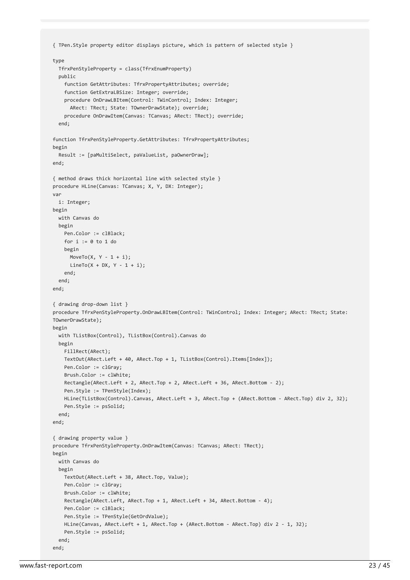```
{ TPen.Style property editor displays picture, which is pattern of selected style }
type
 TfrxPenStyleProperty = class(TfrxEnumProperty)
 public
    function GetAttributes: TfrxPropertyAttributes; override;
   function GetExtraLBSize: Integer; override;
    procedure OnDrawLBItem(Control: TWinControl; Index: Integer;
     ARect: TRect; State: TOwnerDrawState); override;
    procedure OnDrawItem(Canvas: TCanvas; ARect: TRect); override;
  end;
function TfrxPenStyleProperty.GetAttributes: TfrxPropertyAttributes;
begin
 Result := [paMultiSelect, paValueList, paOwnerDraw];
end;
{ method draws thick horizontal line with selected style }
procedure HLine(Canvas: TCanvas; X, Y, DX: Integer);
var
 i: Integer;
begin
 with Canvas do
 begin
   Pen.Color := clBlack;
   for i := 0 to 1 do
   begin
     MoveTo(X, Y - 1 + i);
     LineTo(X + DX, Y - 1 + i);end;
 end;
end;
{ drawing drop-down list }
procedure TfrxPenStyleProperty.OnDrawLBItem(Control: TWinControl; Index: Integer; ARect: TRect; State:
TOwnerDrawState);
begin
 with TListBox(Control), TListBox(Control).Canvas do
 begin
    FillRect(ARect);
    TextOut(ARect.Left + 40, ARect.Top + 1, TListBox(Control).Items[Index]);
    Pen.Color := clGray;
   Brush.Color := clWhite;
   Rectangle(ARect.Left + 2, ARect.Top + 2, ARect.Left + 36, ARect.Bottom - 2);
   Pen.Style := TPenStyle(Index);
   HLine(TListBox(Control).Canvas, ARect.Left + 3, ARect.Top + (ARect.Bottom - ARect.Top) div 2, 32);
   Pen.Style := psSolid;
 end;
end;
{ drawing property value }
procedure TfrxPenStyleProperty.OnDrawItem(Canvas: TCanvas; ARect: TRect);
begin
 with Canvas do
 begin
   TextOut(ARect.Left + 38, ARect.Top, Value);
   Pen.Color := clGray;
   Brush.Color := clWhite;
   Rectangle(ARect.Left, ARect.Top + 1, ARect.Left + 34, ARect.Bottom - 4);
   Pen.Color := clBlack;
   Pen.Style := TPenStyle(GetOrdValue);
   HLine(Canvas, ARect.Left + 1, ARect.Top + (ARect.Bottom - ARect.Top) div 2 - 1, 32);
   Pen.Style := psSolid;
 end;
end;
```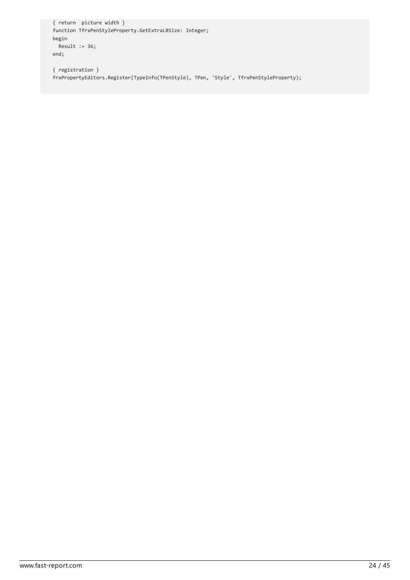```
{ return picture width }
function TfrxPenStyleProperty.GetExtraLBSize: Integer;
begin
 Result := 36;
end;
```
{ registration } frxPropertyEditors.Register(TypeInfo(TPenStyle), TPen, 'Style', TfrxPenStyleProperty);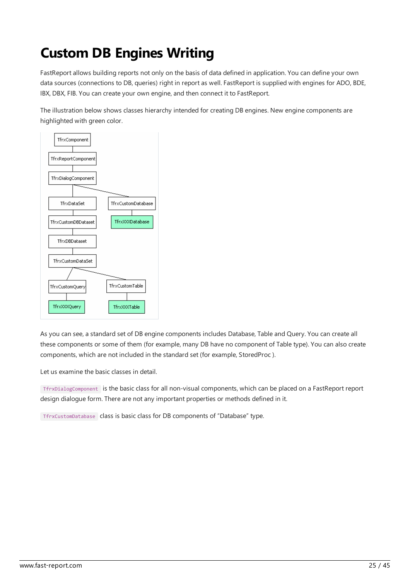# Custom DB Engines Writing

FastReport allows building reports not only on the basis of data defined in application. You can define your own data sources (connections to DB, queries) right in report as well. FastReport is supplied with engines for ADO, BDE, IBX, DBX, FIB. You can create your own engine, and then connect it to FastReport.

The illustration below shows classes hierarchy intended for creating DB engines. New engine components are highlighted with green color.



As you can see, a standard set of DB engine components includes Database, Table and Query. You can create all these components or some of them (for example, many DB have no component of Table type). You can also create components, which are not included in the standard set (for example, StoredProc ).

Let us examine the basic classes in detail.

TfrxDialogComponent is the basic class for all non-visual components, which can be placed on a FastReport report design dialogue form. There are not any important properties or methods defined in it.

TfrxCustomDatabase class is basic class for DB components of "Database" type.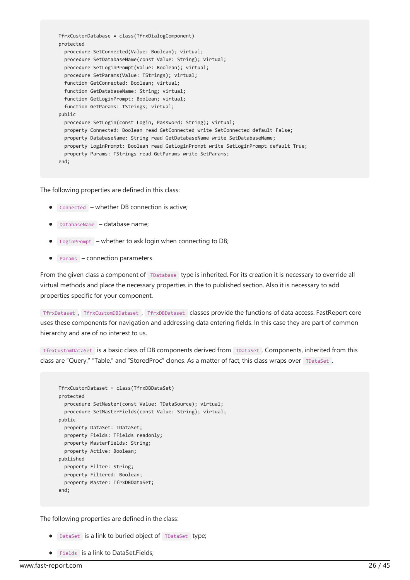```
TfrxCustomDatabase = class(TfrxDialogComponent)
protected
 procedure SetConnected(Value: Boolean); virtual;
 procedure SetDatabaseName(const Value: String); virtual;
 procedure SetLoginPrompt(Value: Boolean); virtual;
 procedure SetParams(Value: TStrings); virtual;
 function GetConnected: Boolean; virtual;
 function GetDatabaseName: String; virtual;
 function GetLoginPrompt: Boolean; virtual;
 function GetParams: TStrings; virtual;
public
  procedure SetLogin(const Login, Password: String); virtual;
  property Connected: Boolean read GetConnected write SetConnected default False;
  property DatabaseName: String read GetDatabaseName write SetDatabaseName;
 property LoginPrompt: Boolean read GetLoginPrompt write SetLoginPrompt default True;
 property Params: TStrings read GetParams write SetParams;
end;
```
The following properties are defined in this class:

- Connected whether DB connection is active;
- DatabaseName database name;
- $\bullet$  LoginPrompt whether to ask login when connecting to DB;
- Params connection parameters.

From the given class a component of TDatabase type is inherited. For its creation it is necessary to override all virtual methods and place the necessary properties in the to published section. Also it is necessary to add properties specific for your component.

TfrxDataset , TfrxCustomDBDataset , TfrxDBDataset classes providethefunctions of data access.FastReport core uses these components for navigation and addressing data entering fields. In this case they are part of common hierarchy and are of no interest to us.

TfrxCustomDataSet is a basic class of DB components derived from TDataSet . Components, inherited from this class are "Query," "Table," and "StoredProc" clones. As a matter of fact, this class wraps over TDataSet.

```
TfrxCustomDataset = class(TfrxDBDataSet)
protected
 procedure SetMaster(const Value: TDataSource); virtual;
 procedure SetMasterFields(const Value: String); virtual;
public
 property DataSet: TDataSet;
 property Fields: TFields readonly;
 property MasterFields: String;
 property Active: Boolean;
published
 property Filter: String;
 property Filtered: Boolean;
 property Master: TfrxDBDataSet;
end;
```
The following properties are defined in the class:

- $\bullet$  DataSet is a link to buried object of TDataSet type;
- **•** Fields is a link to DataSet.Fields;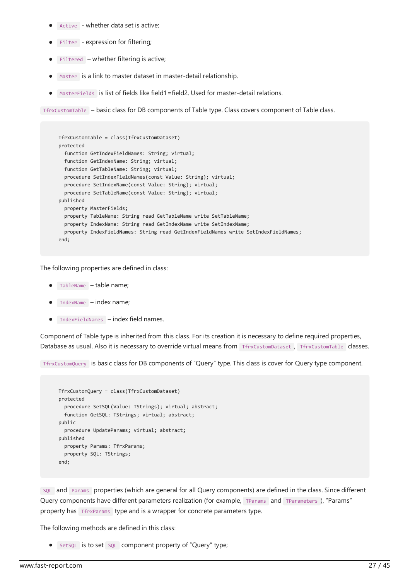- Active whether data set is active;
- Filter expression for filtering;
- $\bullet$  Filtered whether filtering is active;
- $\bullet$  Master is a link to master dataset in master-detail relationship.
- $\bullet$  MasterFields is list of fields like field1=field2. Used for master-detail relations.

TfrxCustomTable – basic class for DB components of Tabletype. Class covers component of Tableclass.

```
TfrxCustomTable = class(TfrxCustomDataset)
protected
  function GetIndexFieldNames: String; virtual;
 function GetIndexName: String; virtual;
 function GetTableName: String; virtual;
 procedure SetIndexFieldNames(const Value: String); virtual;
 procedure SetIndexName(const Value: String); virtual;
  procedure SetTableName(const Value: String); virtual;
published
  property MasterFields;
  property TableName: String read GetTableName write SetTableName;
  property IndexName: String read GetIndexName write SetIndexName;
 property IndexFieldNames: String read GetIndexFieldNames write SetIndexFieldNames;
end;
```
The following properties are defined in class:

- TableName table name;
- $\bullet$  IndexName index name;
- $\bullet$  IndexFieldNames index field names.

Component of Table type is inherited from this class. For its creation it is necessary to define required properties, Database as usual. Also it is necessary to override virtual means from TfrxCustomDataset, TfrxCustomTable classes.

TfrxCustomQuery is basic class for DB components of "Query" type.This class is cover for Query typecomponent.

```
TfrxCustomQuery = class(TfrxCustomDataset)
protected
  procedure SetSQL(Value: TStrings); virtual; abstract;
  function GetSQL: TStrings; virtual; abstract;
public
 procedure UpdateParams; virtual; abstract;
published
 property Params: TfrxParams;
 property SQL: TStrings;
end;
```
sQL and Params properties (which are general for all Query components) are defined in the class. Since different Query components have different parameters realization (for example, TParams and TParameters ), "Params" property has TfrxParams type and is a wrapper for concrete parameters type.

The following methods are defined in this class:

SetSQL is to set sQL component property of "Query" type;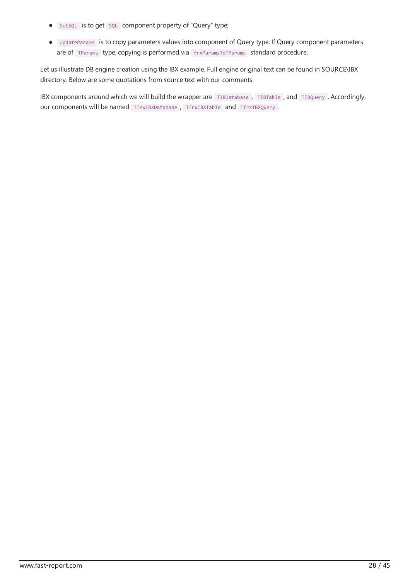- **•** GetsQL is to get sQL component property of "Query" type;
- UpdateParams is to copy parameters values into component of Query type. If Query component parameters are of TParams type, copying is performed via frxParamsToTParams standard procedure.

Let us illustrate DB engine creation using the IBX example. Full engine original text can be found in SOURCE\IBX directory. Below are some quotations from source text with our comments.

IBX components around which we will build the wrapper are TIBDatabase, TIBTable, and TIBQuery. Accordingly, our components will be named TfrxIBXDatabase , TfrxIBXTable and TfrxIBXQuery .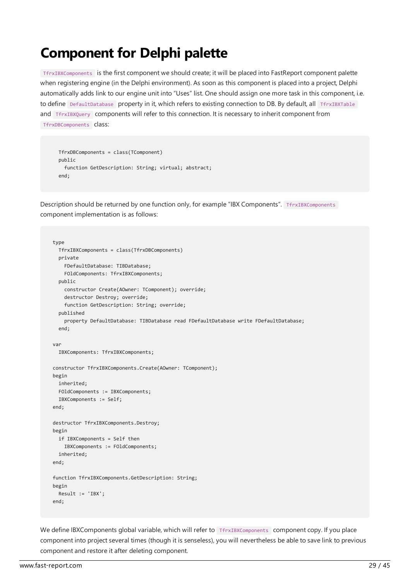#### Component for Delphi palette

 $TfrxIBXComponents$  is the first component we should create; it will be placed into FastReport component palette when registering engine (in the Delphi environment). As soon as this component is placed into a project. Delphi automatically adds link to our engine unit into "Uses" list. One should assign one more task in this component, i.e. to define DefaultDatabase property in it, which refers to existing connection to DB. By default, all TfrxIBXTable and TfrxIBXQuery components will refer to this connection. It is necessary to inherit component from TfrxDBComponents class:

```
TfrxDBComponents = class(TComponent)
public
 function GetDescription: String; virtual; abstract;
end;
```
Description should be returned by one function only, for example "IBX Components". TfrxIBXComponents component implementation is as follows:

```
type
 TfrxIBXComponents = class(TfrxDBComponents)
 private
   FDefaultDatabase: TIBDatabase;
   FOldComponents: TfrxIBXComponents;
 public
   constructor Create(AOwner: TComponent); override;
   destructor Destroy; override;
   function GetDescription: String; override;
 published
    property DefaultDatabase: TIBDatabase read FDefaultDatabase write FDefaultDatabase;
 end;
var
 IBXComponents: TfrxIBXComponents;
constructor TfrxIBXComponents.Create(AOwner: TComponent);
begin
 inherited;
 FOldComponents := IBXComponents;
 IBXComponents := Self;
end;
destructor TfrxIBXComponents.Destroy;
begin
 if IBXComponents = Self then
   IBXComponents := FOldComponents;
 inherited;
end;
function TfrxIBXComponents.GetDescription: String;
begin
 Result := 'IBX';
end;
```
We define IBXComponents global variable, which will refer to TfrxIBXComponents component copy. If you place component into project several times (though it is senseless), you will nevertheless be able to save link to previous component and restore it after deleting component.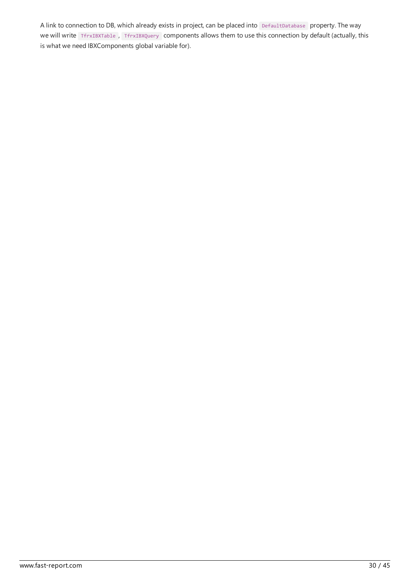A link to connection to DB, which already exists in project, can be placed into DefaultDatabase property. The way we will write TfrxIBXTable, TfrxIBXQuery components allows them to use this connection by default (actually, this is what we need IBXComponents global variable for).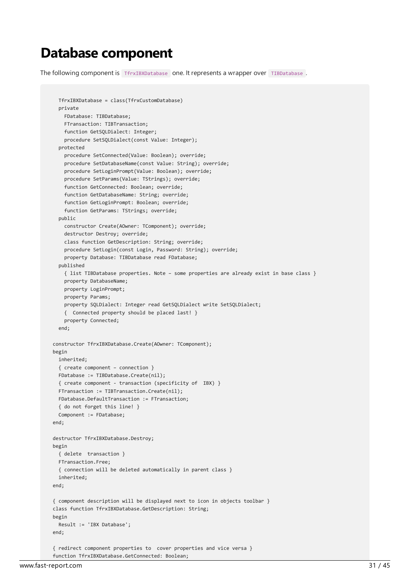#### Database component

The following component is TfrxIBXDatabase one. It represents a wrapper over TIBDatabase.

```
TfrxIBXDatabase = class(TfrxCustomDatabase)
  private
   FDatabase: TIBDatabase;
    FTransaction: TIBTransaction;
   function GetSQLDialect: Integer;
    procedure SetSQLDialect(const Value: Integer);
 protected
    procedure SetConnected(Value: Boolean); override;
    procedure SetDatabaseName(const Value: String); override;
   procedure SetLoginPrompt(Value: Boolean); override;
   procedure SetParams(Value: TStrings); override;
   function GetConnected: Boolean; override;
   function GetDatabaseName: String; override;
   function GetLoginPrompt: Boolean; override;
   function GetParams: TStrings; override;
 public
   constructor Create(AOwner: TComponent); override;
   destructor Destroy; override;
   class function GetDescription: String; override;
   procedure SetLogin(const Login, Password: String); override;
   property Database: TIBDatabase read FDatabase;
 published
    { list TIBDatabase properties. Note – some properties are already exist in base class }
    property DatabaseName;
   property LoginPrompt;
   property Params;
    property SQLDialect: Integer read GetSQLDialect write SetSQLDialect;
    { Connected property should be placed last! }
    property Connected;
  end;
constructor TfrxIBXDatabase.Create(AOwner: TComponent);
begin
 inherited;
  { create component – connection }
 FDatabase := TIBDatabase.Create(nil);
 { create component - transaction (specificity of IBX) }
 FTransaction := TIBTransaction.Create(nil);
 FDatabase.DefaultTransaction := FTransaction;
  { do not forget this line! }
 Component := FDatabase;
end;
destructor TfrxIBXDatabase.Destroy;
begin
 { delete transaction }
 FTransaction.Free;
 { connection will be deleted automatically in parent class }
 inherited;
end;
{ component description will be displayed next to icon in objects toolbar }
class function TfrxIBXDatabase.GetDescription: String;
begin
 Result := 'IBX Database';
end;
{ redirect component properties to cover properties and vice versa }
function TfrxIBXDatabase.GetConnected: Boolean;
```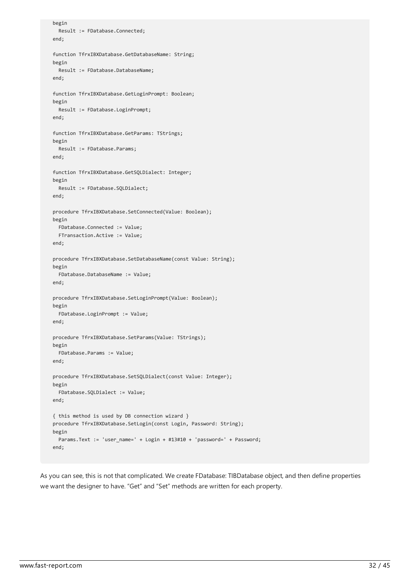```
begin
 Result := FDatabase.Connected;
end;
function TfrxIBXDatabase.GetDatabaseName: String;
begin
 Result := FDatabase.DatabaseName;
end;
function TfrxIBXDatabase.GetLoginPrompt: Boolean;
begin
 Result := FDatabase.LoginPrompt;
end;
function TfrxIBXDatabase.GetParams: TStrings;
begin
 Result := FDatabase.Params;
end;
function TfrxIBXDatabase.GetSQLDialect: Integer;
begin
 Result := FDatabase.SQLDialect;
end;
procedure TfrxIBXDatabase.SetConnected(Value: Boolean);
begin
 FDatabase.Connected := Value;
 FTransaction.Active := Value;
end;
procedure TfrxIBXDatabase.SetDatabaseName(const Value: String);
begin
 FDatabase.DatabaseName := Value;
end;
procedure TfrxIBXDatabase.SetLoginPrompt(Value: Boolean);
begin
 FDatabase.LoginPrompt := Value;
end;
procedure TfrxIBXDatabase.SetParams(Value: TStrings);
begin
 FDatabase.Params := Value;
end;
procedure TfrxIBXDatabase.SetSQLDialect(const Value: Integer);
begin
 FDatabase.SQLDialect := Value;
end;
{ this method is used by DB connection wizard }
procedure TfrxIBXDatabase.SetLogin(const Login, Password: String);
begin
 Params.Text := 'user_name=' + Login + #13#10 + 'password=' + Password;
end;
```
As you can see, this is not that complicated. We create FDatabase: TIBDatabase object, and then define properties we want the designer to have. "Get" and "Set" methods are written for each property.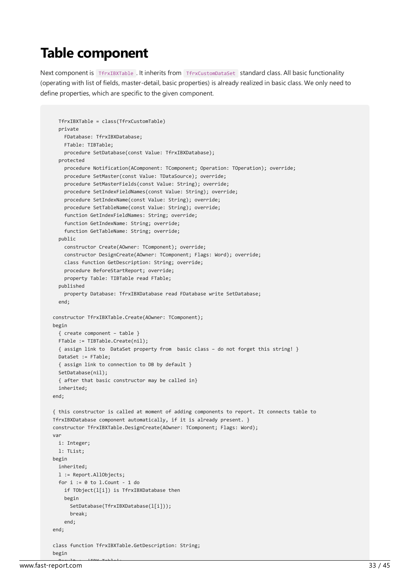#### Table component

Next component is TfrxIBXTable . It inherits from TfrxCustomDataSet standard class. All basic functionality (operating with list of fields, master-detail, basic properties) is already realized in basic class.We only need to define properties, which are specific to the given component.

```
TfrxIBXTable = class(TfrxCustomTable)
 private
    FDatabase: TfrxIBXDatabase;
    FTable: TIBTable;
   procedure SetDatabase(const Value: TfrxIBXDatabase);
  protected
    procedure Notification(AComponent: TComponent; Operation: TOperation); override;
   procedure SetMaster(const Value: TDataSource); override;
   procedure SetMasterFields(const Value: String); override;
   procedure SetIndexFieldNames(const Value: String); override;
   procedure SetIndexName(const Value: String); override;
   procedure SetTableName(const Value: String); override;
   function GetIndexFieldNames: String; override;
   function GetIndexName: String; override;
   function GetTableName: String; override;
 public
    constructor Create(AOwner: TComponent); override;
    constructor DesignCreate(AOwner: TComponent; Flags: Word); override;
    class function GetDescription: String; override;
    procedure BeforeStartReport; override;
    property Table: TIBTable read FTable;
  published
    property Database: TfrxIBXDatabase read FDatabase write SetDatabase;
 end;
constructor TfrxIBXTable.Create(AOwner: TComponent);
begin
 { create component – table }
 FTable := TIBTable.Create(nil);
 { assign link to DataSet property from basic class – do not forget this string! }
 DataSet := FTable;
 { assign link to connection to DB by default }
 SetDatabase(nil);
 { after that basic constructor may be called in}
 inherited;
end;
{ this constructor is called at moment of adding components to report. It connects table to
TfrxIBXDatabase component automatically, if it is already present. }
constructor TfrxIBXTable.DesignCreate(AOwner: TComponent; Flags: Word);
var
 i: Integer;
 l: TList;
begin
 inherited;
 l := Report.AllObjects;
 for i := 0 to l. Count - 1 do
   if TObject(l[i]) is TfrxIBXDatabase then
   begin
     SetDatabase(TfrxIBXDatabase(l[i]));
      break;
    end;
end;
class function TfrxIBXTable.GetDescription: String;
begin
```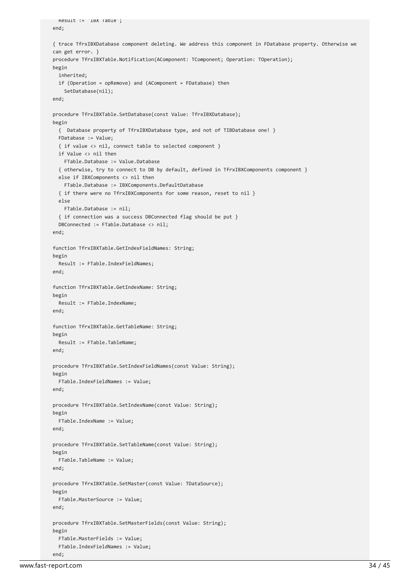```
end;
{ trace TfrxIBXDatabase component deleting. We address this component in FDatabase property. Otherwise we
can get error. }
procedure TfrxIBXTable.Notification(AComponent: TComponent; Operation: TOperation);
begin
 inherited;
 if (Operation = opRemove) and (AComponent = FDatabase) then
   SetDatabase(nil);
end;
procedure TfrxIBXTable.SetDatabase(const Value: TfrxIBXDatabase);
begin
 { Database property of TfrxIBXDatabase type, and not of TIBDatabase one! }
 FDatabase := Value;
  { if value <> nil, connect table to selected component }
 if Value <> nil then
   FTable.Database := Value.Database
  { otherwise, try to connect to DB by default, defined in TfrxIBXComponents component }
 else if IBXComponents <> nil then
   FTable.Database := IBXComponents.DefaultDatabase
  { if there were no TfrxIBXComponents for some reason, reset to nil }
 else
   FTable.Database := nil;
  { if connection was a success DBConnected flag should be put }
 DBConnected := FTable.Database <> nil;
end;
function TfrxIBXTable.GetIndexFieldNames: String;
begin
 Result := FTable.IndexFieldNames;
end;
function TfrxIBXTable.GetIndexName: String;
begin
 Result := FTable.IndexName;
end;
function TfrxIBXTable.GetTableName: String;
begin
 Result := FTable.TableName;
end;
procedure TfrxIBXTable.SetIndexFieldNames(const Value: String);
begin
 FTable.IndexFieldNames := Value;
end;
procedure TfrxIBXTable.SetIndexName(const Value: String);
begin
 FTable.IndexName := Value;
end;
procedure TfrxIBXTable.SetTableName(const Value: String);
begin
 FTable.TableName := Value;
end;
procedure TfrxIBXTable.SetMaster(const Value: TDataSource);
begin
 FTable.MasterSource := Value;
end;
procedure TfrxIBXTable.SetMasterFields(const Value: String);
begin
 FTable.MasterFields := Value;
 FTable.IndexFieldNames := Value;
```
end;

Result := 'IBX Table';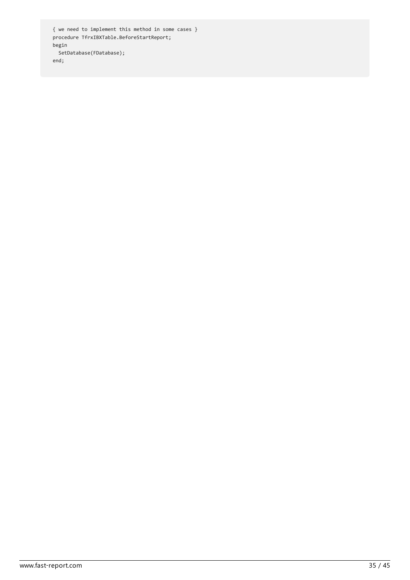{ we need to implement this method in some cases } procedure TfrxIBXTable.BeforeStartReport; begin SetDatabase(FDatabase); end;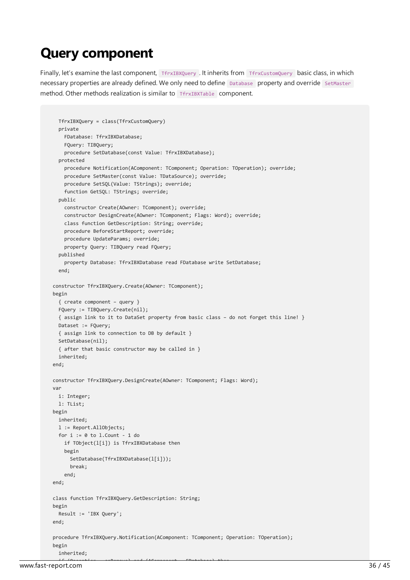#### Query component

Finally, let's examine the last component, TfrxIBXQuery . It inherits from TfrxCustomQuery basic class, in which necessary properties are already defined. We only need to define Database property and override SetMaster method. Other methods realization is similar to **THEXTADLE** component.

```
TfrxIBXQuery = class(TfrxCustomQuery)
 private
    FDatabase: TfrxIBXDatabase;
    FQuery: TIBQuery;
   procedure SetDatabase(const Value: TfrxIBXDatabase);
  protected
   procedure Notification(AComponent: TComponent; Operation: TOperation); override;
   procedure SetMaster(const Value: TDataSource); override;
   procedure SetSQL(Value: TStrings); override;
   function GetSQL: TStrings; override;
 public
   constructor Create(AOwner: TComponent); override;
   constructor DesignCreate(AOwner: TComponent; Flags: Word); override;
   class function GetDescription: String; override;
   procedure BeforeStartReport; override;
   procedure UpdateParams; override;
   property Query: TIBQuery read FQuery;
  published
    property Database: TfrxIBXDatabase read FDatabase write SetDatabase;
  end;
constructor TfrxIBXQuery.Create(AOwner: TComponent);
begin
 { create component – query }
 FQuery := TIBQuery.Create(nil);
  { assign link to it to DataSet property from basic class – do not forget this line! }
 Dataset := FQuery;
 { assign link to connection to DB by default }
 SetDatabase(nil);
 { after that basic constructor may be called in }
 inherited;
end;
constructor TfrxIBXQuery.DesignCreate(AOwner: TComponent; Flags: Word);
var
 i: Integer;
 l: TList;
begin
 inherited;
 l := Report.AllObjects;
 for i := 0 to 1. Count - 1 do
   if TObject(l[i]) is TfrxIBXDatabase then
   begin
     SetDatabase(TfrxIBXDatabase(l[i]));
     break;
    end;
end;
class function TfrxIBXQuery.GetDescription: String;
begin
 Result := 'IBX Query';
end;
procedure TfrxIBXQuery.Notification(AComponent: TComponent; Operation: TOperation);
begin
 inherited;
```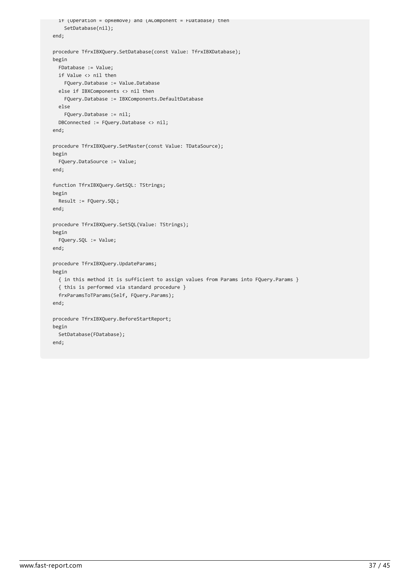```
if (Operation = opRemove) and (AComponent = FDatabase) then
    SetDatabase(nil);
end;
procedure TfrxIBXQuery.SetDatabase(const Value: TfrxIBXDatabase);
begin
 FDatabase := Value;
 if Value <> nil then
   FQuery.Database := Value.Database
 else if IBXComponents <> nil then
   FQuery.Database := IBXComponents.DefaultDatabase
 else
    FQuery.Database := nil;
 DBConnected := FQuery.Database <> nil;
end;
procedure TfrxIBXQuery.SetMaster(const Value: TDataSource);
begin
 FQuery.DataSource := Value;
end;
function TfrxIBXQuery.GetSQL: TStrings;
begin
 Result := FQuery.SQL;
end;
procedure TfrxIBXQuery.SetSQL(Value: TStrings);
begin
 FQuery.SQL := Value;
end;
procedure TfrxIBXQuery.UpdateParams;
begin
 { in this method it is sufficient to assign values from Params into FQuery.Params }
 { this is performed via standard procedure }
 frxParamsToTParams(Self, FQuery.Params);
end;
procedure TfrxIBXQuery.BeforeStartReport;
begin
 SetDatabase(FDatabase);
end;
```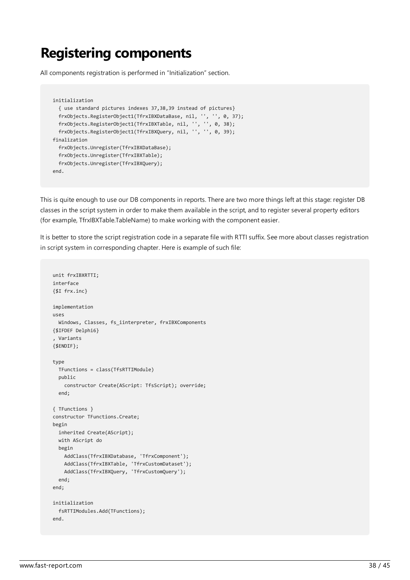#### Registering components

All components registration is performed in "Initialization" section.

```
initialization
 { use standard pictures indexes 37,38,39 instead of pictures}
  frxObjects.RegisterObject1(TfrxIBXDataBase, nil, '', '', 0, 37);
  frxObjects.RegisterObject1(TfrxIBXTable, nil, '', '', 0, 38);
 frxObjects.RegisterObject1(TfrxIBXQuery, nil, '', '', 0, 39);
finalization
 frxObjects.Unregister(TfrxIBXDataBase);
 frxObjects.Unregister(TfrxIBXTable);
 frxObjects.Unregister(TfrxIBXQuery);
end.
```
This is quite enough to use our DB components in reports. There are two more things left at this stage: register DB classes in the script system in order to make them available in the script, and to register several property editors (for example, TfrxIBXTable.TableName) to make working with the component easier.

It is better to store the script registration code in a separate file with RTTI suffix. See more about classes registration in script system in corresponding chapter. Here is example of such file:

```
unit frxIBXRTTI;
interface
{$I frx.inc}
implementation
uses
 Windows, Classes, fs_iinterpreter, frxIBXComponents
{$IFDEF Delphi6}
, Variants
{$ENDIF};
type
 TFunctions = class(TfsRTTIModule)
 public
   constructor Create(AScript: TfsScript); override;
 end;
{ TFunctions }
constructor TFunctions.Create;
begin
 inherited Create(AScript);
 with AScript do
 begin
   AddClass(TfrxIBXDatabase, 'TfrxComponent');
   AddClass(TfrxIBXTable, 'TfrxCustomDataset');
   AddClass(TfrxIBXQuery, 'TfrxCustomQuery');
 end;
end;
initialization
 fsRTTIModules.Add(TFunctions);
end.
```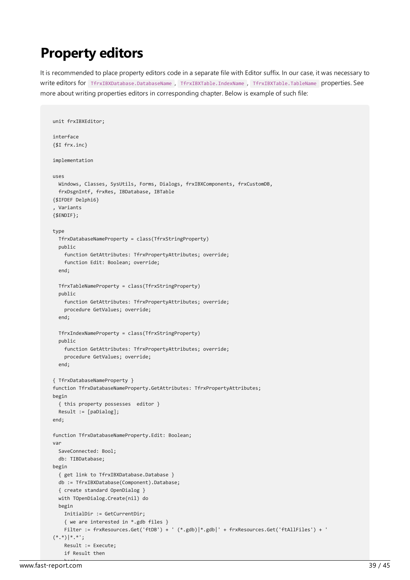## Property editors

unit frxIBXEditor;

It is recommended to place property editors code in a separate file with Editor suffix. In our case, it was necessary to write editors for TfrxIBXDatabase.DatabaseName, TfrxIBXTable.IndexName, TfrxIBXTable.TableName properties. See moreabout writing properties editors in corresponding chapter. Below is example of such file:

```
interface
{$I frx.inc}
implementation
uses
 Windows, Classes, SysUtils, Forms, Dialogs, frxIBXComponents, frxCustomDB,
 frxDsgnIntf, frxRes, IBDatabase, IBTable
{$IFDEF Delphi6}
, Variants
{$ENDIF};
type
 TfrxDatabaseNameProperty = class(TfrxStringProperty)
 public
    function GetAttributes: TfrxPropertyAttributes; override;
    function Edit: Boolean; override;
  end;
 TfrxTableNameProperty = class(TfrxStringProperty)
 public
   function GetAttributes: TfrxPropertyAttributes; override;
   procedure GetValues; override;
 end;
 TfrxIndexNameProperty = class(TfrxStringProperty)
 public
   function GetAttributes: TfrxPropertyAttributes; override;
   procedure GetValues; override;
 end;
{ TfrxDatabaseNameProperty }
function TfrxDatabaseNameProperty.GetAttributes: TfrxPropertyAttributes;
begin
 { this property possesses editor }
 Result := [paDialog];
end;
function TfrxDatabaseNameProperty.Edit: Boolean;
var
 SaveConnected: Bool;
 db: TIBDatabase;
begin
 { get link to TfrxIBXDatabase.Database }
 db := TfrxIBXDatabase(Component).Database;
  { create standard OpenDialog }
 with TOpenDialog.Create(nil) do
 begin
   InitialDir := GetCurrentDir;
    { we are interested in *.gdb files }
    Filter := frxResources.Get('ftDB') + ' (*.gdb)|*.gdb|' + frxResources.Get('ftAllFiles') + '
(*.*)|*.*';
    Result := Execute;
   if Result then
```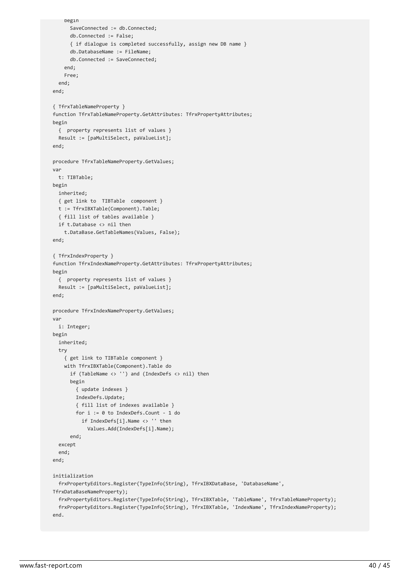```
begin
      SaveConnected := db.Connected;
     db.Connected := False;
     { if dialogue is completed successfully, assign new DB name }
      db.DatabaseName := FileName;
     db.Connected := SaveConnected;
   end;
   Free;
 end;
end;
{ TfrxTableNameProperty }
function TfrxTableNameProperty.GetAttributes: TfrxPropertyAttributes;
begin
  { property represents list of values }
 Result := [paMultiSelect, paValueList];
end;
procedure TfrxTableNameProperty.GetValues;
var
 t: TIBTable;
begin
 inherited;
 { get link to TIBTable component }
 t := TfrxIBXTable(Component).Table;
  { fill list of tables available }
 if t.Database <> nil then
   t.DataBase.GetTableNames(Values, False);
end;
{ TfrxIndexProperty }
function TfrxIndexNameProperty.GetAttributes: TfrxPropertyAttributes;
begin
 { property represents list of values }
 Result := [paMultiSelect, paValueList];
end;
procedure TfrxIndexNameProperty.GetValues;
var
 i: Integer;
begin
 inherited;
 try
    { get link to TIBTable component }
   with TfrxIBXTable(Component).Table do
     if (TableName <> '') and (IndexDefs <> nil) then
     begin
        { update indexes }
       IndexDefs.Update;
        { fill list of indexes available }
       for i := 0 to IndexDefs.Count - 1 do
         if IndexDefs[i].Name <> '' then
            Values.Add(IndexDefs[i].Name);
      end;
  except
  end;
end;
initialization
 frxPropertyEditors.Register(TypeInfo(String), TfrxIBXDataBase, 'DatabaseName',
TfrxDataBaseNameProperty);
 frxPropertyEditors.Register(TypeInfo(String), TfrxIBXTable, 'TableName', TfrxTableNameProperty);
 frxPropertyEditors.Register(TypeInfo(String), TfrxIBXTable, 'IndexName', TfrxIndexNameProperty);
end.
```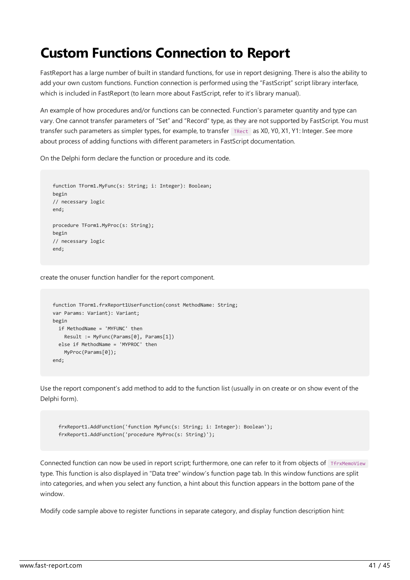## Custom Functions Connection to Report

FastReport has a large number of built in standard functions, for use in report designing. There is also the ability to add your own custom functions. Function connection is performed using the "FastScript" script library interface, which is included in FastReport (to learn more about FastScript, refer to it's library manual).

An example of how procedures and/or functions can be connected. Function's parameter quantity and type can vary. One cannot transfer parameters of "Set" and "Record" type, as they are not supported by FastScript. You must transfer such parameters as simpler types, for example, to transfer TRect as X0, Y0, X1, Y1: Integer. See more about process of adding functions with different parameters in FastScript documentation.

On the Delphi form declare the function or procedure and its code.

```
function TForm1.MyFunc(s: String; i: Integer): Boolean;
begin
// necessary logic
end;
procedure TForm1.MyProc(s: String);
begin
// necessary logic
end;
```
create the onuser function handler for the report component.

```
function TForm1.frxReport1UserFunction(const MethodName: String;
var Params: Variant): Variant;
begin
 if MethodName = 'MYFUNC' then
   Result := MyFunc(Params[0], Params[1])
 else if MethodName = 'MYPROC' then
   MyProc(Params[0]);
end;
```
Use the report component's add method to add to the function list (usually in on create or on show event of the Delphi form).

```
frxReport1.AddFunction('function MyFunc(s: String; i: Integer): Boolean');
frxReport1.AddFunction('procedure MyProc(s: String)');
```
Connected function can now be used in report script; furthermore, one can refer to it from objects of TfrxMemoView type.This function is also displayed in "Data tree" window's function pagetab. In this window functions aresplit into categories, and when you select any function, a hint about this function appears in the bottom pane of the window.

Modify code sample above to register functions in separate category, and display function description hint: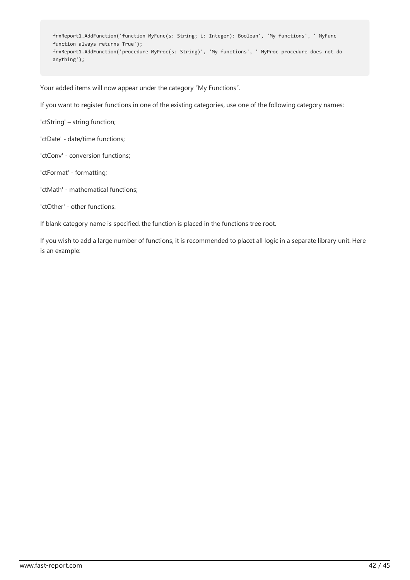frxReport1.AddFunction('function MyFunc(s: String; i: Integer): Boolean', 'My functions', ' MyFunc function always returns True'); frxReport1.AddFunction('procedure MyProc(s: String)', 'My functions', ' MyProc procedure does not do anything');

Your added items will now appear under the category "My Functions".

If you want to register functions in one of the existing categories, use one of the following category names:

'ctString' – string function;

'ctDate' - date/time functions;

'ctConv' - conversion functions;

'ctFormat' - formatting;

'ctMath' - mathematical functions;

'ctOther' - other functions.

If blank category name is specified, the function is placed in the functions tree root.

If you wish to add a large number of functions, it is recommended to placet all logic in a separate library unit. Here is an example: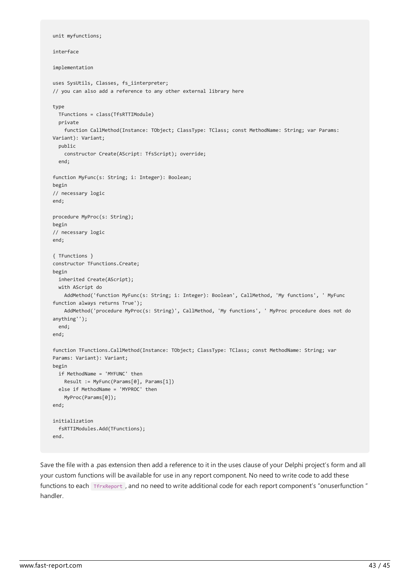```
unit myfunctions;
interface
implementation
uses SysUtils, Classes, fs iinterpreter;
// you can also add a reference to any other external library here
type
 TFunctions = class(TfsRTTIModule)
 private
    function CallMethod(Instance: TObject; ClassType: TClass; const MethodName: String; var Params:
Variant): Variant;
  public
    constructor Create(AScript: TfsScript); override;
  end;
function MyFunc(s: String; i: Integer): Boolean;
begin
// necessary logic
end;
procedure MyProc(s: String);
begin
// necessary logic
end;
{ TFunctions }
constructor TFunctions.Create;
begin
 inherited Create(AScript);
 with AScript do
   AddMethod('function MyFunc(s: String; i: Integer): Boolean', CallMethod, 'My functions', ' MyFunc
function always returns True');
   AddMethod('procedure MyProc(s: String)', CallMethod, 'My functions', ' MyProc procedure does not do
anything'');
 end;
end;
function TFunctions.CallMethod(Instance: TObject; ClassType: TClass; const MethodName: String; var
Params: Variant): Variant;
begin
 if MethodName = 'MYFUNC' then
   Result := MyFunc(Params[0], Params[1])
 else if MethodName = 'MYPROC' then
   MyProc(Params[0]);
end;
initialization
  fsRTTIModules.Add(TFunctions);
end.
```
Save the file with a .pas extension then add a reference to it in the uses clause of your Delphi project's form and all your custom functions will be available for use in any report component. No need to write code to add these functions to each TfrxReport, and no need to write additional code for each report component's "onuserfunction" handler.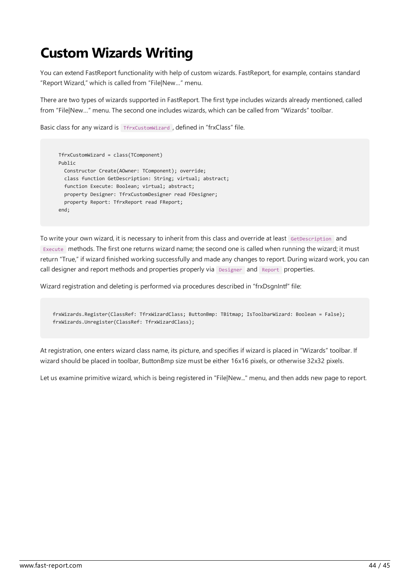# Custom Wizards Writing

You can extend FastReport functionality with help of custom wizards. FastReport, for example, contains standard "Report Wizard," which is called from "File|New…" menu.

There are two types of wizards supported in FastReport. The first type includes wizards already mentioned, called from "File|New..." menu. The second one includes wizards, which can be called from "Wizards" toolbar.

Basic class for any wizard is TfrxCustomWizard, defined in "frxClass" file.

```
TfrxCustomWizard = class(TComponent)
Public
 Constructor Create(AOwner: TComponent); override;
 class function GetDescription: String; virtual; abstract;
 function Execute: Boolean; virtual; abstract;
 property Designer: TfrxCustomDesigner read FDesigner;
 property Report: TfrxReport read FReport;
end;
```
To write your own wizard, it is necessary to inherit from this class and override at least GetDescription and Execute methods. The first one returns wizard name; the second one is called when running the wizard; it must return "True," if wizard finished working successfully and madeany changes to report. During wizard work,you can call designer and report methods and properties properly via Designer and Report properties.

Wizard registration and deleting is performed via procedures described in "frxDsgnIntf" file:

frxWizards.Register(ClassRef: TfrxWizardClass; ButtonBmp: TBitmap; IsToolbarWizard: Boolean = False); frxWizards.Unregister(ClassRef: TfrxWizardClass);

At registration, one enters wizard class name, its picture, and specifies if wizard is placed in "Wizards" toolbar. If wizard should be placed in toolbar, ButtonBmp size must be either 16x16 pixels, or otherwise 32x32 pixels.

Let us examine primitive wizard, which is being registered in "File|New..." menu, and then adds new page to report.